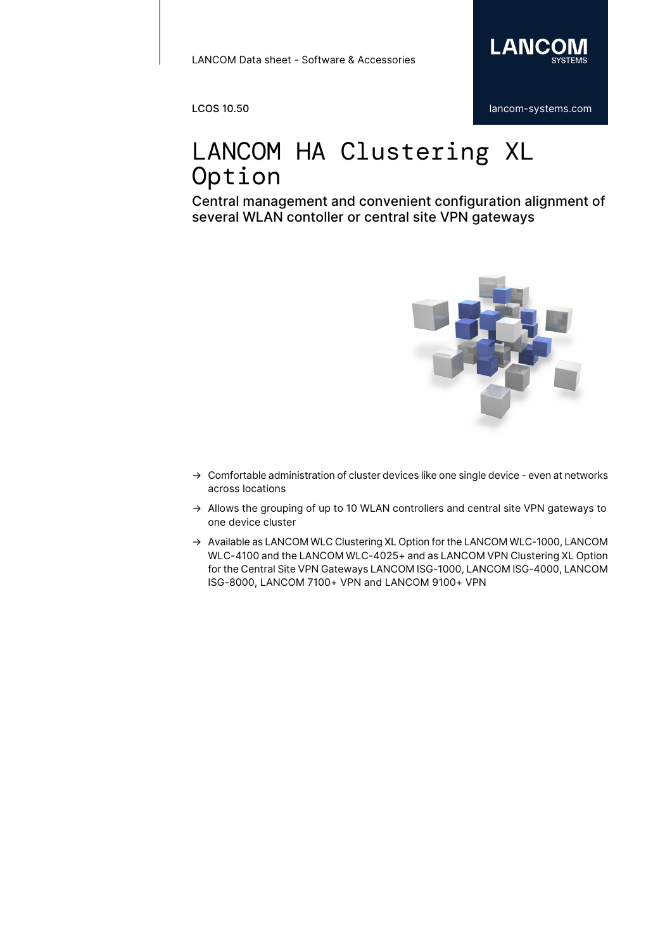

## LANCOM HA Clustering XL Option

Central management and convenient configuration alignment of several WLAN contoller or central site VPN gateways



- → Comfortable administration of cluster devices like one single device even at networks across locations
- $\rightarrow$  Allows the grouping of up to 10 WLAN controllers and central site VPN gateways to one device cluster
- → Available as LANCOM WLC Clustering XL Option for the LANCOM WLC-1000, LANCOM WLC-4100 and the LANCOM WLC-4025+ and as LANCOM VPN Clustering XL Option for the Central Site VPN Gateways LANCOM ISG-1000, LANCOM ISG-4000, LANCOM ISG-8000, LANCOM 7100+ VPN and LANCOM 9100+ VPN